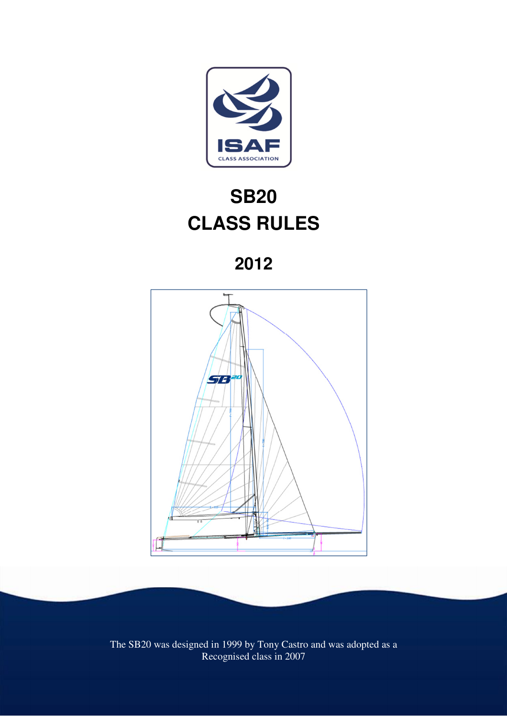

# **SB20 CLASS RULES**

**2012** 



The SB20 was designed in 1999 by Tony Castro and was adopted as a Recognised class in 2007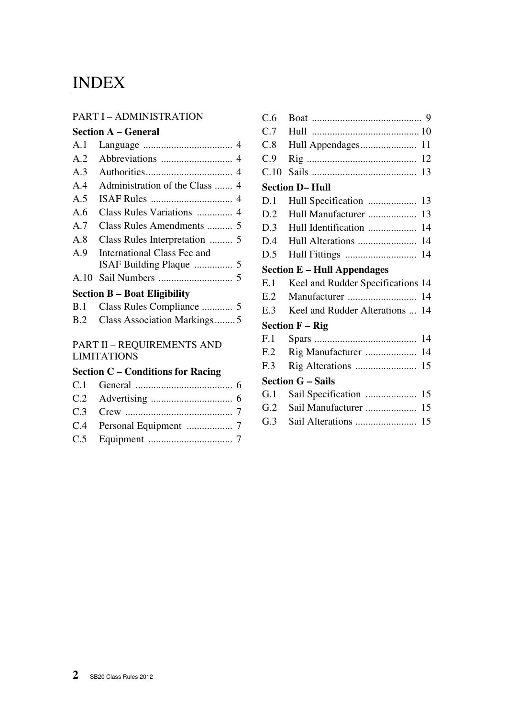## INDEX

#### PART I – ADMINISTRATION

#### **Section A – General**

| A.1            |                             |
|----------------|-----------------------------|
| A.2            |                             |
| A.3            |                             |
| A.4            |                             |
| A.5            |                             |
| A.6            |                             |
| A.7            |                             |
| A.8            |                             |
| A <sub>9</sub> | International Class Fee and |
|                |                             |
|                |                             |
|                |                             |

#### **Section B – Boat Eligibility**

| B.2 Class Association Markings5 |
|---------------------------------|

#### PART II – REQUIREMENTS AND LIMITATIONS

## **Section C – Conditions for Racing**

| C.6  |                                     |    |
|------|-------------------------------------|----|
| C.7  |                                     |    |
| C.8  |                                     |    |
| C.9  |                                     | 12 |
| C.10 |                                     | 13 |
|      | <b>Section D-Hull</b>               |    |
| D.1  | Hull Specification                  | 13 |
| D.2  | Hull Manufacturer                   | 13 |
| D.3  | Hull Identification                 | 14 |
| D.4  |                                     | 14 |
| D.5  |                                     | 14 |
|      | <b>Section E - Hull Appendages</b>  |    |
| E.1  | Keel and Rudder Specifications 14   |    |
| E.2  |                                     | 14 |
| E.3  | Keel and Rudder Alterations         | 14 |
|      | <b>Section <math>F - Rig</math></b> |    |
| F.1  |                                     | 14 |
| F.2  | Rig Manufacturer                    | 14 |
| F.3  |                                     | 15 |
|      | <b>Section G – Sails</b>            |    |
| G.1  |                                     | 15 |
| G.2  | Sail Manufacturer                   | 15 |
| G.3  |                                     | 15 |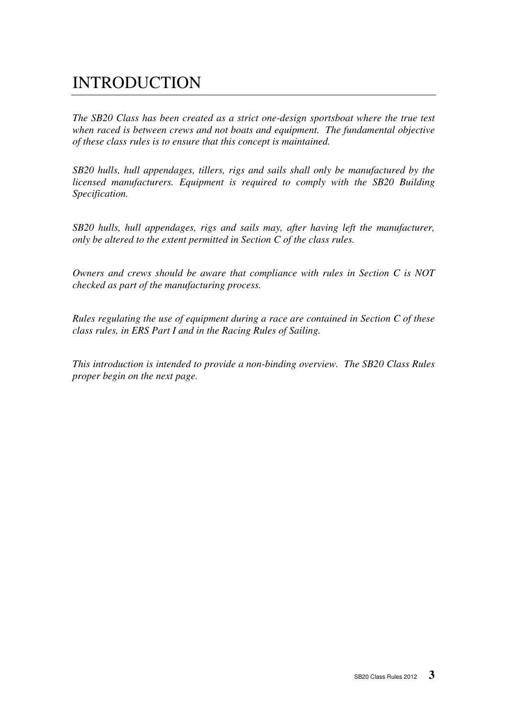## INTRODUCTION

*The SB20 Class has been created as a strict one-design sportsboat where the true test when raced is between crews and not boats and equipment. The fundamental objective of these class rules is to ensure that this concept is maintained.* 

*SB20 hulls, hull appendages, tillers, rigs and sails shall only be manufactured by the licensed manufacturers. Equipment is required to comply with the SB20 Building Specification.* 

*SB20 hulls, hull appendages, rigs and sails may, after having left the manufacturer, only be altered to the extent permitted in Section C of the class rules.*

*Owners and crews should be aware that compliance with rules in Section C is NOT checked as part of the manufacturing process.* 

*Rules regulating the use of equipment during a race are contained in Section C of these class rules, in ERS Part I and in the Racing Rules of Sailing.* 

*This introduction is intended to provide a non-binding overview. The SB20 Class Rules proper begin on the next page.*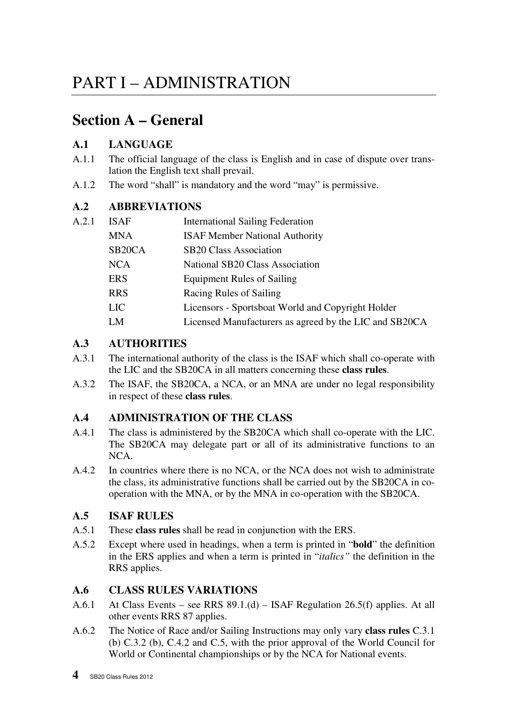## **Section A – General**

## **A.1 LANGUAGE**

- A.1.1 The official language of the class is English and in case of dispute over translation the English text shall prevail.
- A.1.2 The word "shall" is mandatory and the word "may" is permissive.

## **A.2 ABBREVIATIONS**

| A.2.1 | <b>ISAF</b>         | <b>International Sailing Federation</b>                |
|-------|---------------------|--------------------------------------------------------|
|       | <b>MNA</b>          | <b>ISAF Member National Authority</b>                  |
|       | SB <sub>20</sub> CA | <b>SB20 Class Association</b>                          |
|       | <b>NCA</b>          | National SB20 Class Association                        |
|       | <b>ERS</b>          | <b>Equipment Rules of Sailing</b>                      |
|       | <b>RRS</b>          | Racing Rules of Sailing                                |
|       | <b>LIC</b>          | Licensors - Sportsboat World and Copyright Holder      |
|       | LM                  | Licensed Manufacturers as agreed by the LIC and SB20CA |
|       |                     |                                                        |

## **A.3 AUTHORITIES**

- A.3.1 The international authority of the class is the ISAF which shall co-operate with the LIC and the SB20CA in all matters concerning these **class rules**.
- A.3.2 The ISAF, the SB20CA, a NCA, or an MNA are under no legal responsibility in respect of these **class rules**.

## **A.4 ADMINISTRATION OF THE CLASS**

- A.4.1 The class is administered by the SB20CA which shall co-operate with the LIC. The SB20CA may delegate part or all of its administrative functions to an NCA.
- A.4.2 In countries where there is no NCA, or the NCA does not wish to administrate the class, its administrative functions shall be carried out by the SB20CA in cooperation with the MNA, or by the MNA in co-operation with the SB20CA.

## **A.5 ISAF RULES**

- A.5.1 These **class rules** shall be read in conjunction with the ERS.
- A.5.2 Except where used in headings, when a term is printed in "**bold**" the definition in the ERS applies and when a term is printed in "*italics"* the definition in the RRS applies.

## **A.6 CLASS RULES VARIATIONS**

- A.6.1 At Class Events see RRS 89.1.(d) ISAF Regulation 26.5(f) applies. At all other events RRS 87 applies.
- A.6.2 The Notice of Race and/or Sailing Instructions may only vary **class rules** C.3.1 (b) C.3.2 (b), C.4.2 and C.5, with the prior approval of the World Council for World or Continental championships or by the NCA for National events.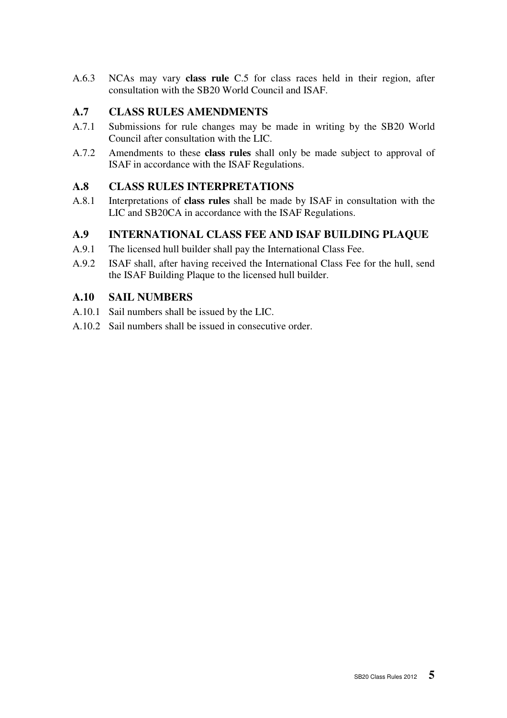A.6.3 NCAs may vary **class rule** C.5 for class races held in their region, after consultation with the SB20 World Council and ISAF.

## **A.7 CLASS RULES AMENDMENTS**

- A.7.1 Submissions for rule changes may be made in writing by the SB20 World Council after consultation with the LIC.
- A.7.2 Amendments to these **class rules** shall only be made subject to approval of ISAF in accordance with the ISAF Regulations.

## **A.8 CLASS RULES INTERPRETATIONS**

A.8.1 Interpretations of **class rules** shall be made by ISAF in consultation with the LIC and SB20CA in accordance with the ISAF Regulations.

## **A.9 INTERNATIONAL CLASS FEE AND ISAF BUILDING PLAQUE**

- A.9.1 The licensed hull builder shall pay the International Class Fee.
- A.9.2 ISAF shall, after having received the International Class Fee for the hull, send the ISAF Building Plaque to the licensed hull builder.

## **A.10 SAIL NUMBERS**

- A.10.1 Sail numbers shall be issued by the LIC.
- A.10.2 Sail numbers shall be issued in consecutive order.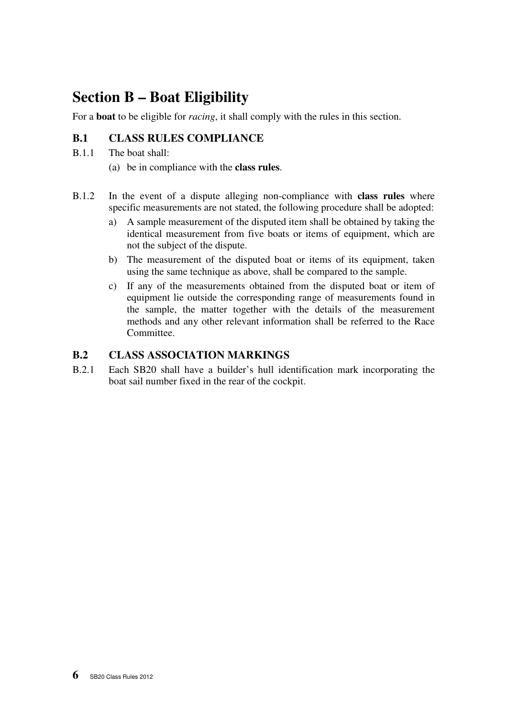## **Section B – Boat Eligibility**

For a **boat** to be eligible for *racing*, it shall comply with the rules in this section.

## **B.1 CLASS RULES COMPLIANCE**

- B.1.1 The boat shall:
	- (a) be in compliance with the **class rules**.
- B.1.2 In the event of a dispute alleging non-compliance with **class rules** where specific measurements are not stated, the following procedure shall be adopted:
	- a) A sample measurement of the disputed item shall be obtained by taking the identical measurement from five boats or items of equipment, which are not the subject of the dispute.
	- b) The measurement of the disputed boat or items of its equipment, taken using the same technique as above, shall be compared to the sample.
	- c) If any of the measurements obtained from the disputed boat or item of equipment lie outside the corresponding range of measurements found in the sample, the matter together with the details of the measurement methods and any other relevant information shall be referred to the Race Committee.

## **B.2 CLASS ASSOCIATION MARKINGS**

B.2.1 Each SB20 shall have a builder's hull identification mark incorporating the boat sail number fixed in the rear of the cockpit.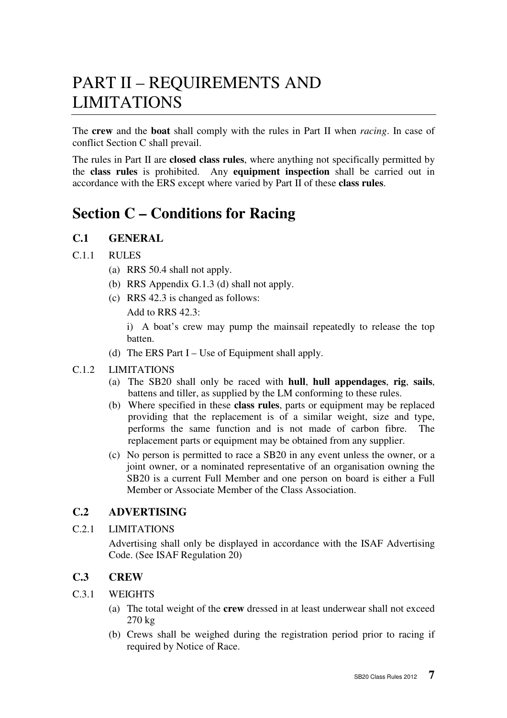## PART II – REQUIREMENTS AND LIMITATIONS

The **crew** and the **boat** shall comply with the rules in Part II when *racing*. In case of conflict Section C shall prevail.

The rules in Part II are **closed class rules**, where anything not specifically permitted by the **class rules** is prohibited. Any **equipment inspection** shall be carried out in accordance with the ERS except where varied by Part II of these **class rules**.

## **Section C – Conditions for Racing**

## **C.1 GENERAL**

#### C.1.1 RULES

- (a) RRS 50.4 shall not apply.
- (b) RRS Appendix G.1.3 (d) shall not apply.
- (c) RRS 42.3 is changed as follows:

Add to RRS 42.3:

 i) A boat's crew may pump the mainsail repeatedly to release the top batten.

(d) The ERS Part I – Use of Equipment shall apply.

#### C.1.2 LIMITATIONS

- (a) The SB20 shall only be raced with **hull**, **hull appendages**, **rig**, **sails**, battens and tiller, as supplied by the LM conforming to these rules.
- (b) Where specified in these **class rules**, parts or equipment may be replaced providing that the replacement is of a similar weight, size and type, performs the same function and is not made of carbon fibre. The replacement parts or equipment may be obtained from any supplier.
- (c) No person is permitted to race a SB20 in any event unless the owner, or a joint owner, or a nominated representative of an organisation owning the SB20 is a current Full Member and one person on board is either a Full Member or Associate Member of the Class Association.

## **C.2 ADVERTISING**

#### C.2.1 LIMITATIONS

 Advertising shall only be displayed in accordance with the ISAF Advertising Code. (See ISAF Regulation 20)

## **C.3 CREW**

#### C.3.1 WEIGHTS

- (a) The total weight of the **crew** dressed in at least underwear shall not exceed 270 kg
- (b) Crews shall be weighed during the registration period prior to racing if required by Notice of Race.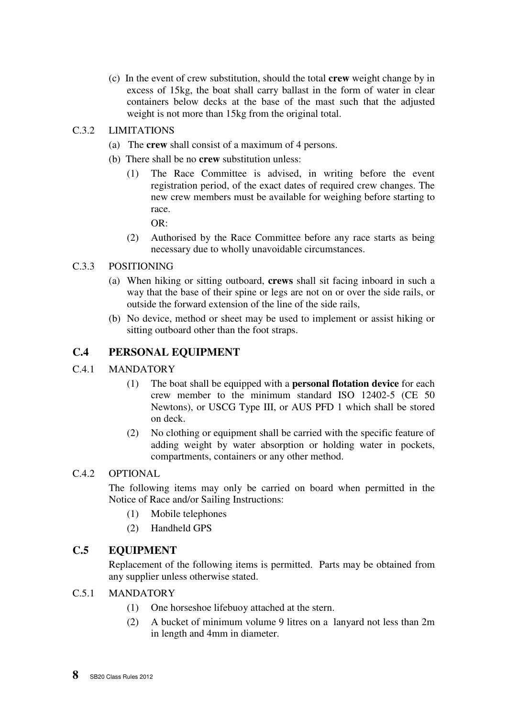(c) In the event of crew substitution, should the total **crew** weight change by in excess of 15kg, the boat shall carry ballast in the form of water in clear containers below decks at the base of the mast such that the adjusted weight is not more than 15kg from the original total.

#### C.3.2 LIMITATIONS

- (a) The **crew** shall consist of a maximum of 4 persons.
- (b) There shall be no **crew** substitution unless:
	- (1) The Race Committee is advised, in writing before the event registration period, of the exact dates of required crew changes. The new crew members must be available for weighing before starting to race.

 $OR<sup>2</sup>$ 

(2) Authorised by the Race Committee before any race starts as being necessary due to wholly unavoidable circumstances.

#### C.3.3 POSITIONING

- (a) When hiking or sitting outboard, **crews** shall sit facing inboard in such a way that the base of their spine or legs are not on or over the side rails, or outside the forward extension of the line of the side rails,
- (b) No device, method or sheet may be used to implement or assist hiking or sitting outboard other than the foot straps.

## **C.4 PERSONAL EQUIPMENT**

#### C.4.1 MANDATORY

- (1) The boat shall be equipped with a **personal flotation device** for each crew member to the minimum standard ISO 12402-5 (CE 50 Newtons), or USCG Type III, or AUS PFD 1 which shall be stored on deck.
- (2) No clothing or equipment shall be carried with the specific feature of adding weight by water absorption or holding water in pockets, compartments, containers or any other method.

#### C.4.2 OPTIONAL

 The following items may only be carried on board when permitted in the Notice of Race and/or Sailing Instructions:

- (1) Mobile telephones
- (2) Handheld GPS

## **C.5 EQUIPMENT**

Replacement of the following items is permitted. Parts may be obtained from any supplier unless otherwise stated.

## C.5.1 MANDATORY

- (1) One horseshoe lifebuoy attached at the stern.
- (2) A bucket of minimum volume 9 litres on a lanyard not less than 2m in length and 4mm in diameter.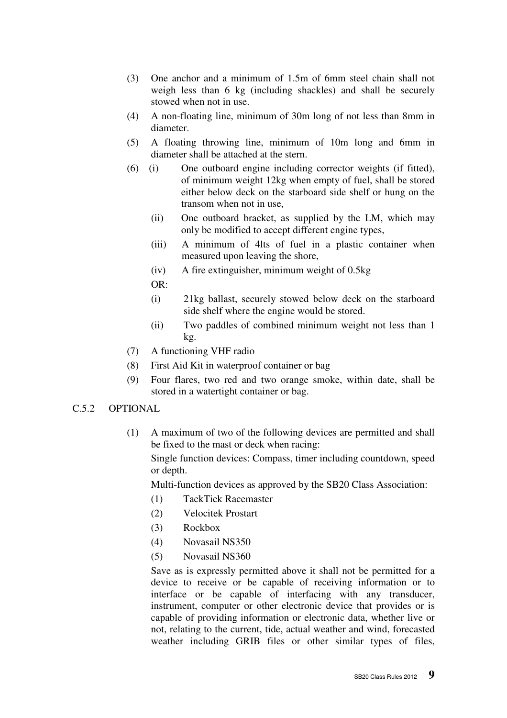- (3) One anchor and a minimum of 1.5m of 6mm steel chain shall not weigh less than 6 kg (including shackles) and shall be securely stowed when not in use.
- (4) A non-floating line, minimum of 30m long of not less than 8mm in diameter.
- (5) A floating throwing line, minimum of 10m long and 6mm in diameter shall be attached at the stern.
- (6) (i) One outboard engine including corrector weights (if fitted), of minimum weight 12kg when empty of fuel, shall be stored either below deck on the starboard side shelf or hung on the transom when not in use,
	- (ii) One outboard bracket, as supplied by the LM, which may only be modified to accept different engine types,
	- (iii) A minimum of 4lts of fuel in a plastic container when measured upon leaving the shore,
	- (iv) A fire extinguisher, minimum weight of 0.5kg
	- OR:
	- (i) 21kg ballast, securely stowed below deck on the starboard side shelf where the engine would be stored.
	- (ii) Two paddles of combined minimum weight not less than 1 kg.
- (7) A functioning VHF radio
- (8) First Aid Kit in waterproof container or bag
- (9) Four flares, two red and two orange smoke, within date, shall be stored in a watertight container or bag.

#### C.5.2 OPTIONAL

(1) A maximum of two of the following devices are permitted and shall be fixed to the mast or deck when racing:

 Single function devices: Compass, timer including countdown, speed or depth.

Multi-function devices as approved by the SB20 Class Association:

- (1) TackTick Racemaster
- (2) Velocitek Prostart
- (3) Rockbox
- (4) Novasail NS350
- (5) Novasail NS360

Save as is expressly permitted above it shall not be permitted for a device to receive or be capable of receiving information or to interface or be capable of interfacing with any transducer, instrument, computer or other electronic device that provides or is capable of providing information or electronic data, whether live or not, relating to the current, tide, actual weather and wind, forecasted weather including GRIB files or other similar types of files,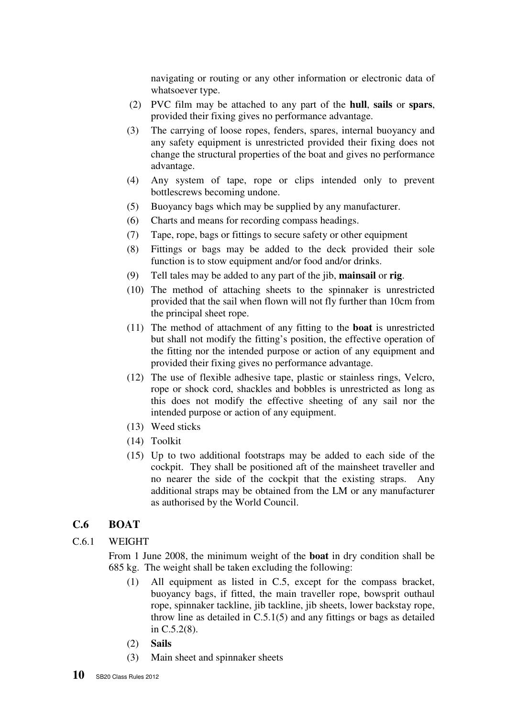navigating or routing or any other information or electronic data of whatsoever type.

- (2) PVC film may be attached to any part of the **hull**, **sails** or **spars**, provided their fixing gives no performance advantage.
- (3) The carrying of loose ropes, fenders, spares, internal buoyancy and any safety equipment is unrestricted provided their fixing does not change the structural properties of the boat and gives no performance advantage.
- (4) Any system of tape, rope or clips intended only to prevent bottlescrews becoming undone.
- (5) Buoyancy bags which may be supplied by any manufacturer.
- (6) Charts and means for recording compass headings.
- (7) Tape, rope, bags or fittings to secure safety or other equipment
- (8) Fittings or bags may be added to the deck provided their sole function is to stow equipment and/or food and/or drinks.
- (9) Tell tales may be added to any part of the jib, **mainsail** or **rig**.
- (10) The method of attaching sheets to the spinnaker is unrestricted provided that the sail when flown will not fly further than 10cm from the principal sheet rope.
- (11) The method of attachment of any fitting to the **boat** is unrestricted but shall not modify the fitting's position, the effective operation of the fitting nor the intended purpose or action of any equipment and provided their fixing gives no performance advantage.
- (12) The use of flexible adhesive tape, plastic or stainless rings, Velcro, rope or shock cord, shackles and bobbles is unrestricted as long as this does not modify the effective sheeting of any sail nor the intended purpose or action of any equipment.
- (13) Weed sticks
- (14) Toolkit
- (15) Up to two additional footstraps may be added to each side of the cockpit. They shall be positioned aft of the mainsheet traveller and no nearer the side of the cockpit that the existing straps. Any additional straps may be obtained from the LM or any manufacturer as authorised by the World Council.

## **C.6 BOAT**

#### C.6.1 WEIGHT

 From 1 June 2008, the minimum weight of the **boat** in dry condition shall be 685 kg. The weight shall be taken excluding the following:

- (1) All equipment as listed in C.5, except for the compass bracket, buoyancy bags, if fitted, the main traveller rope, bowsprit outhaul rope, spinnaker tackline, jib tackline, jib sheets, lower backstay rope, throw line as detailed in C.5.1(5) and any fittings or bags as detailed in C.5.2(8).
- (2) **Sails**
- (3) Main sheet and spinnaker sheets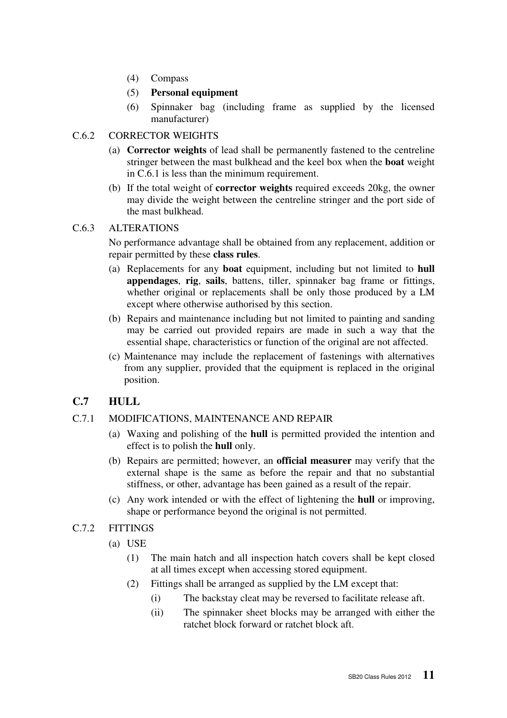- (4) Compass
- (5) **Personal equipment**
- (6) Spinnaker bag (including frame as supplied by the licensed manufacturer)

#### C.6.2 CORRECTOR WEIGHTS

- (a) **Corrector weights** of lead shall be permanently fastened to the centreline stringer between the mast bulkhead and the keel box when the **boat** weight in C.6.1 is less than the minimum requirement.
- (b) If the total weight of **corrector weights** required exceeds 20kg, the owner may divide the weight between the centreline stringer and the port side of the mast bulkhead.

#### C.6.3 ALTERATIONS

No performance advantage shall be obtained from any replacement, addition or repair permitted by these **class rules**.

- (a) Replacements for any **boat** equipment, including but not limited to **hull appendages**, **rig**, **sails**, battens, tiller, spinnaker bag frame or fittings, whether original or replacements shall be only those produced by a LM except where otherwise authorised by this section.
- (b) Repairs and maintenance including but not limited to painting and sanding may be carried out provided repairs are made in such a way that the essential shape, characteristics or function of the original are not affected.
- (c) Maintenance may include the replacement of fastenings with alternatives from any supplier, provided that the equipment is replaced in the original position.

## **C.7 HULL**

#### C.7.1 MODIFICATIONS, MAINTENANCE AND REPAIR

- (a) Waxing and polishing of the **hull** is permitted provided the intention and effect is to polish the **hull** only.
- (b) Repairs are permitted; however, an **official measurer** may verify that the external shape is the same as before the repair and that no substantial stiffness, or other, advantage has been gained as a result of the repair.
- (c) Any work intended or with the effect of lightening the **hull** or improving, shape or performance beyond the original is not permitted.
- C.7.2 FITTINGS
	- (a) USE
		- (1) The main hatch and all inspection hatch covers shall be kept closed at all times except when accessing stored equipment.
		- (2) Fittings shall be arranged as supplied by the LM except that:
			- (i) The backstay cleat may be reversed to facilitate release aft.
			- (ii) The spinnaker sheet blocks may be arranged with either the ratchet block forward or ratchet block aft.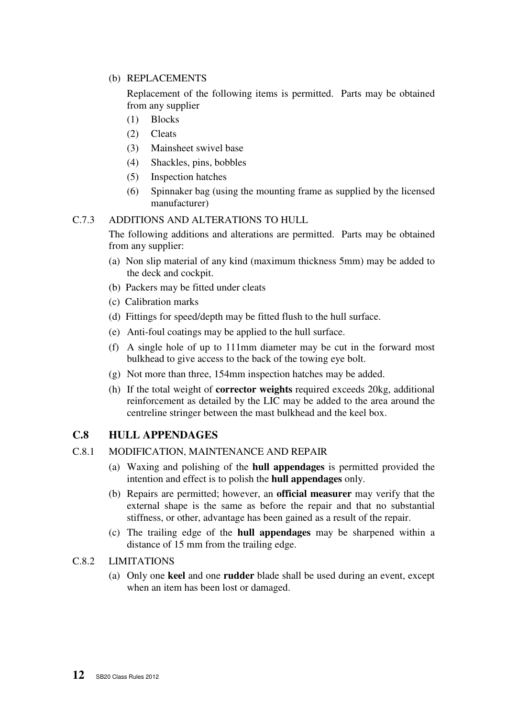#### (b) REPLACEMENTS

Replacement of the following items is permitted. Parts may be obtained from any supplier

- (1) Blocks
- (2) Cleats
- (3) Mainsheet swivel base
- (4) Shackles, pins, bobbles
- (5) Inspection hatches
- (6) Spinnaker bag (using the mounting frame as supplied by the licensed manufacturer)

#### C.7.3 ADDITIONS AND ALTERATIONS TO HULL

 The following additions and alterations are permitted. Parts may be obtained from any supplier:

- (a) Non slip material of any kind (maximum thickness 5mm) may be added to the deck and cockpit.
- (b) Packers may be fitted under cleats
- (c) Calibration marks
- (d) Fittings for speed/depth may be fitted flush to the hull surface.
- (e) Anti-foul coatings may be applied to the hull surface.
- (f) A single hole of up to 111mm diameter may be cut in the forward most bulkhead to give access to the back of the towing eye bolt.
- (g) Not more than three, 154mm inspection hatches may be added.
- (h) If the total weight of **corrector weights** required exceeds 20kg, additional reinforcement as detailed by the LIC may be added to the area around the centreline stringer between the mast bulkhead and the keel box.

## **C.8 HULL APPENDAGES**

#### C.8.1 MODIFICATION, MAINTENANCE AND REPAIR

- (a) Waxing and polishing of the **hull appendages** is permitted provided the intention and effect is to polish the **hull appendages** only.
- (b) Repairs are permitted; however, an **official measurer** may verify that the external shape is the same as before the repair and that no substantial stiffness, or other, advantage has been gained as a result of the repair.
- (c) The trailing edge of the **hull appendages** may be sharpened within a distance of 15 mm from the trailing edge.

#### C.8.2 LIMITATIONS

(a) Only one **keel** and one **rudder** blade shall be used during an event, except when an item has been lost or damaged.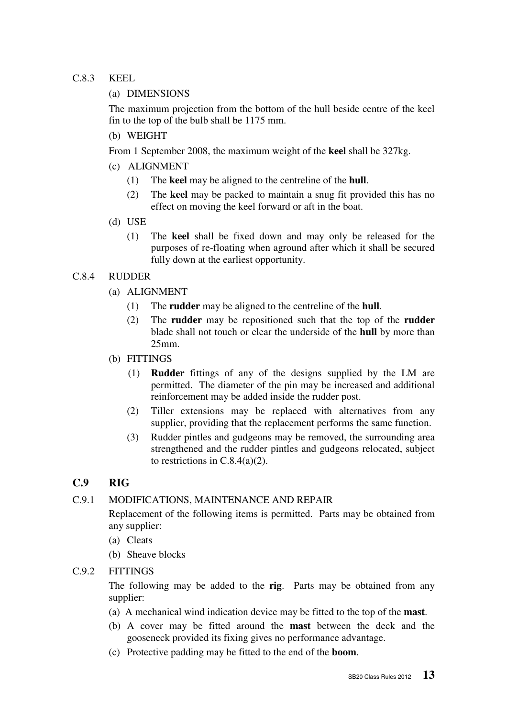#### C.8.3 KEEL

#### (a) DIMENSIONS

The maximum projection from the bottom of the hull beside centre of the keel fin to the top of the bulb shall be 1175 mm.

(b) WEIGHT

From 1 September 2008, the maximum weight of the **keel** shall be 327kg.

- (c) ALIGNMENT
	- (1) The **keel** may be aligned to the centreline of the **hull**.
	- (2) The **keel** may be packed to maintain a snug fit provided this has no effect on moving the keel forward or aft in the boat.
- (d) USE
	- (1) The **keel** shall be fixed down and may only be released for the purposes of re-floating when aground after which it shall be secured fully down at the earliest opportunity.

#### C.8.4 RUDDER

- (a) ALIGNMENT
	- (1) The **rudder** may be aligned to the centreline of the **hull**.
	- (2) The **rudder** may be repositioned such that the top of the **rudder** blade shall not touch or clear the underside of the **hull** by more than 25mm.
- (b) FITTINGS
	- (1) **Rudder** fittings of any of the designs supplied by the LM are permitted. The diameter of the pin may be increased and additional reinforcement may be added inside the rudder post.
	- (2) Tiller extensions may be replaced with alternatives from any supplier, providing that the replacement performs the same function.
	- (3) Rudder pintles and gudgeons may be removed, the surrounding area strengthened and the rudder pintles and gudgeons relocated, subject to restrictions in  $C.8.4(a)(2)$ .

## **C.9 RIG**

## C.9.1 MODIFICATIONS, MAINTENANCE AND REPAIR

 Replacement of the following items is permitted. Parts may be obtained from any supplier:

- (a) Cleats
- (b) Sheave blocks
- C.9.2 FITTINGS

 The following may be added to the **rig**. Parts may be obtained from any supplier:

- (a) A mechanical wind indication device may be fitted to the top of the **mast**.
- (b) A cover may be fitted around the **mast** between the deck and the gooseneck provided its fixing gives no performance advantage.
- (c) Protective padding may be fitted to the end of the **boom**.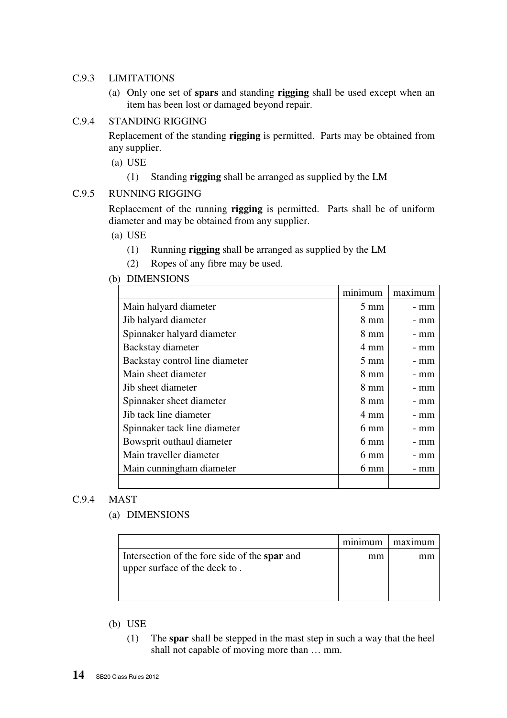#### C.9.3 LIMITATIONS

(a) Only one set of **spars** and standing **rigging** shall be used except when an item has been lost or damaged beyond repair.

#### C.9.4 STANDING RIGGING

 Replacement of the standing **rigging** is permitted. Parts may be obtained from any supplier.

- (a) USE
	- (1) Standing **rigging** shall be arranged as supplied by the LM

#### C.9.5 RUNNING RIGGING

Replacement of the running **rigging** is permitted. Parts shall be of uniform diameter and may be obtained from any supplier.

- (a) USE
	- (1) Running **rigging** shall be arranged as supplied by the LM
	- (2) Ropes of any fibre may be used.

#### (b) DIMENSIONS

|                                | minimum        | maximum |
|--------------------------------|----------------|---------|
| Main halyard diameter          | $5 \text{ mm}$ | - mm    |
| Jib halyard diameter           | 8 mm           | - mm    |
| Spinnaker halyard diameter     | 8 mm           | - mm    |
| Backstay diameter              | 4 mm           | - mm    |
| Backstay control line diameter | $5 \text{ mm}$ | - mm    |
| Main sheet diameter            | $8 \text{ mm}$ | - mm    |
| Jib sheet diameter             | 8 mm           | - mm    |
| Spinnaker sheet diameter       | 8 mm           | - mm    |
| Jib tack line diameter         | 4 mm           | - mm    |
| Spinnaker tack line diameter   | 6 mm           | - mm    |
| Bowsprit outhaul diameter      | 6 mm           | - mm    |
| Main traveller diameter        | $6 \text{ mm}$ | - mm    |
| Main cunningham diameter       | 6 mm           | - mm    |
|                                |                |         |

#### C.9.4 MAST

#### (a) DIMENSIONS

|                                                                                | minimum | maximum |
|--------------------------------------------------------------------------------|---------|---------|
| Intersection of the fore side of the spar and<br>upper surface of the deck to. | mm      |         |

#### (b) USE

(1) The **spar** shall be stepped in the mast step in such a way that the heel shall not capable of moving more than … mm.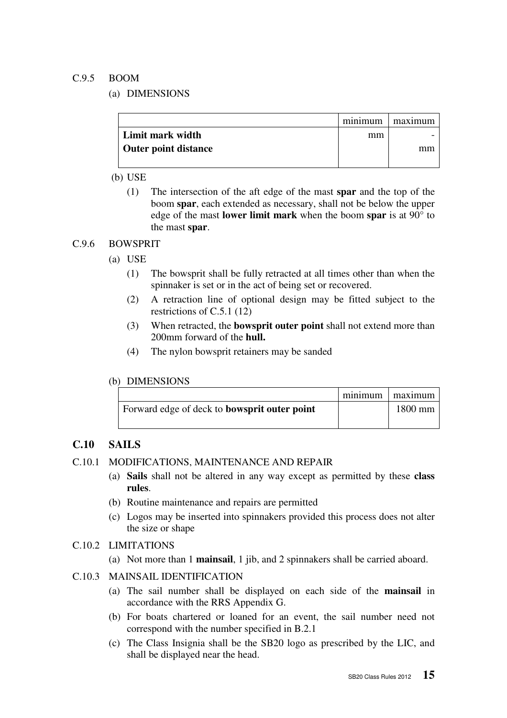#### C.9.5 BOOM

(a) DIMENSIONS

|                             |    | minimum   maximum |
|-----------------------------|----|-------------------|
| Limit mark width            | mm |                   |
| <b>Outer point distance</b> |    | mm                |
|                             |    |                   |

#### (b) USE

(1) The intersection of the aft edge of the mast **spar** and the top of the boom **spar**, each extended as necessary, shall not be below the upper edge of the mast **lower limit mark** when the boom **spar** is at 90° to the mast **spar**.

#### C.9.6 BOWSPRIT

- (a) USE
	- (1) The bowsprit shall be fully retracted at all times other than when the spinnaker is set or in the act of being set or recovered.
	- (2) A retraction line of optional design may be fitted subject to the restrictions of C.5.1 (12)
	- (3) When retracted, the **bowsprit outer point** shall not extend more than 200mm forward of the **hull.**
	- (4) The nylon bowsprit retainers may be sanded

#### (b) DIMENSIONS

|                                                     | minimum   maximum |
|-----------------------------------------------------|-------------------|
| Forward edge of deck to <b>bowsprit outer point</b> | $1800$ mm         |

## **C.10 SAILS**

- C.10.1 MODIFICATIONS, MAINTENANCE AND REPAIR
	- (a) **Sails** shall not be altered in any way except as permitted by these **class rules**.
	- (b) Routine maintenance and repairs are permitted
	- (c) Logos may be inserted into spinnakers provided this process does not alter the size or shape
- C.10.2 LIMITATIONS
	- (a) Not more than 1 **mainsail**, 1 jib, and 2 spinnakers shall be carried aboard.
- C.10.3 MAINSAIL IDENTIFICATION
	- (a) The sail number shall be displayed on each side of the **mainsail** in accordance with the RRS Appendix G.
	- (b) For boats chartered or loaned for an event, the sail number need not correspond with the number specified in B.2.1
	- (c) The Class Insignia shall be the SB20 logo as prescribed by the LIC, and shall be displayed near the head.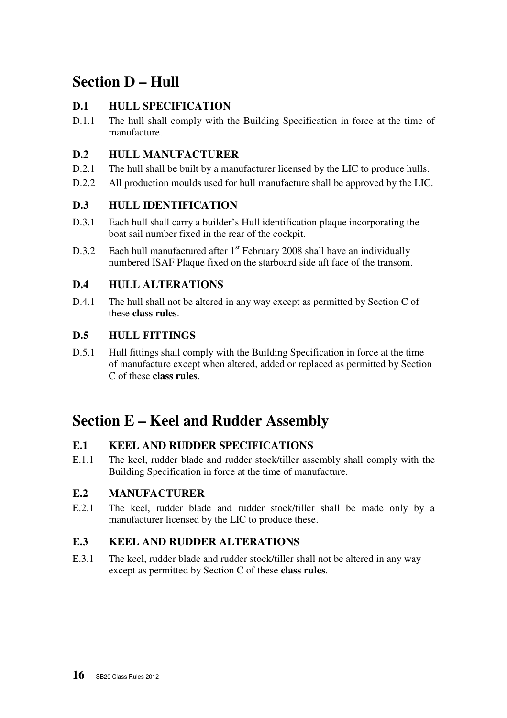## **Section D – Hull**

## **D.1 HULL SPECIFICATION**

D.1.1 The hull shall comply with the Building Specification in force at the time of manufacture.

## **D.2 HULL MANUFACTURER**

- D.2.1 The hull shall be built by a manufacturer licensed by the LIC to produce hulls.
- D.2.2 All production moulds used for hull manufacture shall be approved by the LIC.

## **D.3 HULL IDENTIFICATION**

- D.3.1 Each hull shall carry a builder's Hull identification plaque incorporating the boat sail number fixed in the rear of the cockpit.
- D.3.2 Each hull manufactured after  $1<sup>st</sup>$  February 2008 shall have an individually numbered ISAF Plaque fixed on the starboard side aft face of the transom.

## **D.4 HULL ALTERATIONS**

D.4.1 The hull shall not be altered in any way except as permitted by Section C of these **class rules**.

## **D.5 HULL FITTINGS**

D.5.1 Hull fittings shall comply with the Building Specification in force at the time of manufacture except when altered, added or replaced as permitted by Section C of these **class rules**.

## **Section E – Keel and Rudder Assembly**

## **E.1 KEEL AND RUDDER SPECIFICATIONS**

E.1.1 The keel, rudder blade and rudder stock/tiller assembly shall comply with the Building Specification in force at the time of manufacture.

## **E.2 MANUFACTURER**

E.2.1 The keel, rudder blade and rudder stock/tiller shall be made only by a manufacturer licensed by the LIC to produce these.

## **E.3 KEEL AND RUDDER ALTERATIONS**

E.3.1 The keel, rudder blade and rudder stock/tiller shall not be altered in any way except as permitted by Section C of these **class rules**.